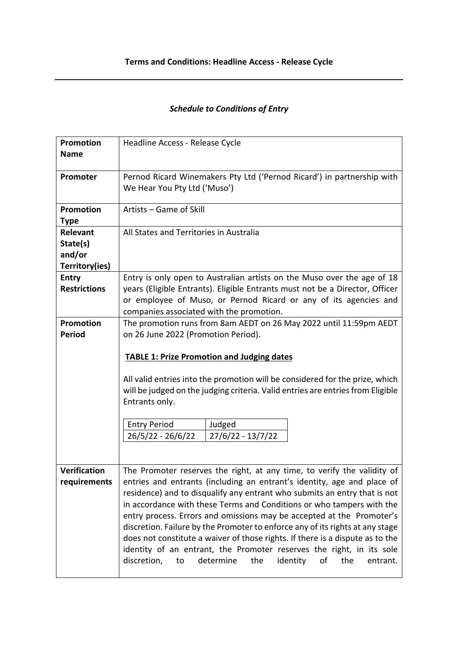## *Schedule to Conditions of Entry*

| <b>Promotion</b><br><b>Name</b>                         | Headline Access - Release Cycle                                                                                                                                                                                                                                                                                                                                                                                                                                                                                                                                                                                                                                                                           |
|---------------------------------------------------------|-----------------------------------------------------------------------------------------------------------------------------------------------------------------------------------------------------------------------------------------------------------------------------------------------------------------------------------------------------------------------------------------------------------------------------------------------------------------------------------------------------------------------------------------------------------------------------------------------------------------------------------------------------------------------------------------------------------|
| Promoter                                                | Pernod Ricard Winemakers Pty Ltd ('Pernod Ricard') in partnership with<br>We Hear You Pty Ltd ('Muso')                                                                                                                                                                                                                                                                                                                                                                                                                                                                                                                                                                                                    |
| <b>Promotion</b><br><b>Type</b>                         | Artists - Game of Skill                                                                                                                                                                                                                                                                                                                                                                                                                                                                                                                                                                                                                                                                                   |
| <b>Relevant</b><br>State(s)<br>and/or<br>Territory(ies) | All States and Territories in Australia                                                                                                                                                                                                                                                                                                                                                                                                                                                                                                                                                                                                                                                                   |
| <b>Entry</b><br><b>Restrictions</b>                     | Entry is only open to Australian artists on the Muso over the age of 18<br>years (Eligible Entrants). Eligible Entrants must not be a Director, Officer<br>or employee of Muso, or Pernod Ricard or any of its agencies and<br>companies associated with the promotion.                                                                                                                                                                                                                                                                                                                                                                                                                                   |
| <b>Promotion</b><br><b>Period</b>                       | The promotion runs from 8am AEDT on 26 May 2022 until 11:59pm AEDT<br>on 26 June 2022 (Promotion Period).<br><b>TABLE 1: Prize Promotion and Judging dates</b><br>All valid entries into the promotion will be considered for the prize, which<br>will be judged on the judging criteria. Valid entries are entries from Eligible<br>Entrants only.<br><b>Entry Period</b><br>Judged<br>26/5/22 - 26/6/22<br>27/6/22 - 13/7/22                                                                                                                                                                                                                                                                            |
| <b>Verification</b><br>requirements                     | The Promoter reserves the right, at any time, to verify the validity of<br>entries and entrants (including an entrant's identity, age and place of<br>residence) and to disqualify any entrant who submits an entry that is not<br>in accordance with these Terms and Conditions or who tampers with the<br>entry process. Errors and omissions may be accepted at the Promoter's<br>discretion. Failure by the Promoter to enforce any of its rights at any stage<br>does not constitute a waiver of those rights. If there is a dispute as to the<br>identity of an entrant, the Promoter reserves the right, in its sole<br>discretion,<br>determine<br>the<br>identity<br>οf<br>the<br>to<br>entrant. |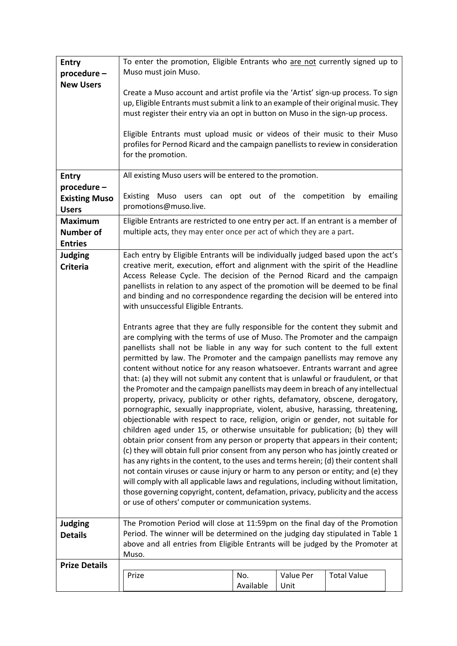| <b>Entry</b><br>procedure-                           | To enter the promotion, Eligible Entrants who are not currently signed up to<br>Muso must join Muso.                                                                                                                                                                                                                                                                                                                                                                                                                                                                                                                                                                                                                                                                                                                                                                                                                                                                                                                                                                                                                                                                                                                                                                                                                                                                                                                                                                                                                                                                                                                                                                                                                                                                                                                                                                                                                                                                                     |                  |                   |                    |  |
|------------------------------------------------------|------------------------------------------------------------------------------------------------------------------------------------------------------------------------------------------------------------------------------------------------------------------------------------------------------------------------------------------------------------------------------------------------------------------------------------------------------------------------------------------------------------------------------------------------------------------------------------------------------------------------------------------------------------------------------------------------------------------------------------------------------------------------------------------------------------------------------------------------------------------------------------------------------------------------------------------------------------------------------------------------------------------------------------------------------------------------------------------------------------------------------------------------------------------------------------------------------------------------------------------------------------------------------------------------------------------------------------------------------------------------------------------------------------------------------------------------------------------------------------------------------------------------------------------------------------------------------------------------------------------------------------------------------------------------------------------------------------------------------------------------------------------------------------------------------------------------------------------------------------------------------------------------------------------------------------------------------------------------------------------|------------------|-------------------|--------------------|--|
| <b>New Users</b>                                     | Create a Muso account and artist profile via the 'Artist' sign-up process. To sign<br>up, Eligible Entrants must submit a link to an example of their original music. They<br>must register their entry via an opt in button on Muso in the sign-up process.<br>Eligible Entrants must upload music or videos of their music to their Muso<br>profiles for Pernod Ricard and the campaign panellists to review in consideration                                                                                                                                                                                                                                                                                                                                                                                                                                                                                                                                                                                                                                                                                                                                                                                                                                                                                                                                                                                                                                                                                                                                                                                                                                                                                                                                                                                                                                                                                                                                                          |                  |                   |                    |  |
|                                                      | for the promotion.                                                                                                                                                                                                                                                                                                                                                                                                                                                                                                                                                                                                                                                                                                                                                                                                                                                                                                                                                                                                                                                                                                                                                                                                                                                                                                                                                                                                                                                                                                                                                                                                                                                                                                                                                                                                                                                                                                                                                                       |                  |                   |                    |  |
| <b>Entry</b>                                         | All existing Muso users will be entered to the promotion.                                                                                                                                                                                                                                                                                                                                                                                                                                                                                                                                                                                                                                                                                                                                                                                                                                                                                                                                                                                                                                                                                                                                                                                                                                                                                                                                                                                                                                                                                                                                                                                                                                                                                                                                                                                                                                                                                                                                |                  |                   |                    |  |
| procedure-<br><b>Existing Muso</b>                   | Existing Muso users can opt out of the competition by emailing                                                                                                                                                                                                                                                                                                                                                                                                                                                                                                                                                                                                                                                                                                                                                                                                                                                                                                                                                                                                                                                                                                                                                                                                                                                                                                                                                                                                                                                                                                                                                                                                                                                                                                                                                                                                                                                                                                                           |                  |                   |                    |  |
| <b>Users</b>                                         | promotions@muso.live.                                                                                                                                                                                                                                                                                                                                                                                                                                                                                                                                                                                                                                                                                                                                                                                                                                                                                                                                                                                                                                                                                                                                                                                                                                                                                                                                                                                                                                                                                                                                                                                                                                                                                                                                                                                                                                                                                                                                                                    |                  |                   |                    |  |
| <b>Maximum</b><br><b>Number of</b><br><b>Entries</b> | Eligible Entrants are restricted to one entry per act. If an entrant is a member of<br>multiple acts, they may enter once per act of which they are a part.                                                                                                                                                                                                                                                                                                                                                                                                                                                                                                                                                                                                                                                                                                                                                                                                                                                                                                                                                                                                                                                                                                                                                                                                                                                                                                                                                                                                                                                                                                                                                                                                                                                                                                                                                                                                                              |                  |                   |                    |  |
| <b>Judging</b>                                       |                                                                                                                                                                                                                                                                                                                                                                                                                                                                                                                                                                                                                                                                                                                                                                                                                                                                                                                                                                                                                                                                                                                                                                                                                                                                                                                                                                                                                                                                                                                                                                                                                                                                                                                                                                                                                                                                                                                                                                                          |                  |                   |                    |  |
| <b>Criteria</b>                                      | Each entry by Eligible Entrants will be individually judged based upon the act's<br>creative merit, execution, effort and alignment with the spirit of the Headline<br>Access Release Cycle. The decision of the Pernod Ricard and the campaign<br>panellists in relation to any aspect of the promotion will be deemed to be final<br>and binding and no correspondence regarding the decision will be entered into<br>with unsuccessful Eligible Entrants.<br>Entrants agree that they are fully responsible for the content they submit and<br>are complying with the terms of use of Muso. The Promoter and the campaign<br>panellists shall not be liable in any way for such content to the full extent<br>permitted by law. The Promoter and the campaign panellists may remove any<br>content without notice for any reason whatsoever. Entrants warrant and agree<br>that: (a) they will not submit any content that is unlawful or fraudulent, or that<br>the Promoter and the campaign panellists may deem in breach of any intellectual<br>property, privacy, publicity or other rights, defamatory, obscene, derogatory,<br>pornographic, sexually inappropriate, violent, abusive, harassing, threatening,<br>objectionable with respect to race, religion, origin or gender, not suitable for<br>children aged under 15, or otherwise unsuitable for publication; (b) they will<br>obtain prior consent from any person or property that appears in their content;<br>(c) they will obtain full prior consent from any person who has jointly created or<br>has any rights in the content, to the uses and terms herein; (d) their content shall<br>not contain viruses or cause injury or harm to any person or entity; and (e) they<br>will comply with all applicable laws and regulations, including without limitation,<br>those governing copyright, content, defamation, privacy, publicity and the access<br>or use of others' computer or communication systems. |                  |                   |                    |  |
| <b>Judging</b>                                       | The Promotion Period will close at 11:59pm on the final day of the Promotion                                                                                                                                                                                                                                                                                                                                                                                                                                                                                                                                                                                                                                                                                                                                                                                                                                                                                                                                                                                                                                                                                                                                                                                                                                                                                                                                                                                                                                                                                                                                                                                                                                                                                                                                                                                                                                                                                                             |                  |                   |                    |  |
| <b>Details</b>                                       | Period. The winner will be determined on the judging day stipulated in Table 1<br>above and all entries from Eligible Entrants will be judged by the Promoter at<br>Muso.                                                                                                                                                                                                                                                                                                                                                                                                                                                                                                                                                                                                                                                                                                                                                                                                                                                                                                                                                                                                                                                                                                                                                                                                                                                                                                                                                                                                                                                                                                                                                                                                                                                                                                                                                                                                                |                  |                   |                    |  |
| <b>Prize Details</b>                                 |                                                                                                                                                                                                                                                                                                                                                                                                                                                                                                                                                                                                                                                                                                                                                                                                                                                                                                                                                                                                                                                                                                                                                                                                                                                                                                                                                                                                                                                                                                                                                                                                                                                                                                                                                                                                                                                                                                                                                                                          |                  |                   |                    |  |
|                                                      | Prize                                                                                                                                                                                                                                                                                                                                                                                                                                                                                                                                                                                                                                                                                                                                                                                                                                                                                                                                                                                                                                                                                                                                                                                                                                                                                                                                                                                                                                                                                                                                                                                                                                                                                                                                                                                                                                                                                                                                                                                    | No.<br>Available | Value Per<br>Unit | <b>Total Value</b> |  |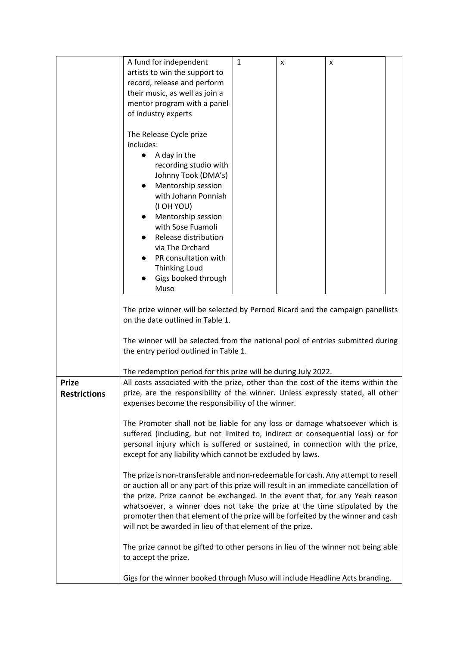|                     | A fund for independent                                                                                                                                           | $\mathbf{1}$ | X | x |  |
|---------------------|------------------------------------------------------------------------------------------------------------------------------------------------------------------|--------------|---|---|--|
|                     | artists to win the support to                                                                                                                                    |              |   |   |  |
|                     | record, release and perform                                                                                                                                      |              |   |   |  |
|                     | their music, as well as join a                                                                                                                                   |              |   |   |  |
|                     | mentor program with a panel                                                                                                                                      |              |   |   |  |
|                     | of industry experts                                                                                                                                              |              |   |   |  |
|                     |                                                                                                                                                                  |              |   |   |  |
|                     | The Release Cycle prize                                                                                                                                          |              |   |   |  |
|                     | includes:                                                                                                                                                        |              |   |   |  |
|                     | A day in the<br>$\bullet$                                                                                                                                        |              |   |   |  |
|                     | recording studio with                                                                                                                                            |              |   |   |  |
|                     | Johnny Took (DMA's)                                                                                                                                              |              |   |   |  |
|                     | Mentorship session<br>$\bullet$                                                                                                                                  |              |   |   |  |
|                     | with Johann Ponniah                                                                                                                                              |              |   |   |  |
|                     | (I OH YOU)                                                                                                                                                       |              |   |   |  |
|                     | Mentorship session                                                                                                                                               |              |   |   |  |
|                     | with Sose Fuamoli                                                                                                                                                |              |   |   |  |
|                     | Release distribution                                                                                                                                             |              |   |   |  |
|                     | via The Orchard                                                                                                                                                  |              |   |   |  |
|                     | PR consultation with                                                                                                                                             |              |   |   |  |
|                     | <b>Thinking Loud</b>                                                                                                                                             |              |   |   |  |
|                     | Gigs booked through<br>Muso                                                                                                                                      |              |   |   |  |
|                     |                                                                                                                                                                  |              |   |   |  |
|                     | The prize winner will be selected by Pernod Ricard and the campaign panellists                                                                                   |              |   |   |  |
|                     | on the date outlined in Table 1.                                                                                                                                 |              |   |   |  |
|                     |                                                                                                                                                                  |              |   |   |  |
|                     | The winner will be selected from the national pool of entries submitted during                                                                                   |              |   |   |  |
|                     | the entry period outlined in Table 1.                                                                                                                            |              |   |   |  |
|                     |                                                                                                                                                                  |              |   |   |  |
|                     | The redemption period for this prize will be during July 2022.                                                                                                   |              |   |   |  |
| <b>Prize</b>        | All costs associated with the prize, other than the cost of the items within the                                                                                 |              |   |   |  |
| <b>Restrictions</b> | prize, are the responsibility of the winner. Unless expressly stated, all other                                                                                  |              |   |   |  |
|                     | expenses become the responsibility of the winner.                                                                                                                |              |   |   |  |
|                     |                                                                                                                                                                  |              |   |   |  |
|                     | The Promoter shall not be liable for any loss or damage whatsoever which is                                                                                      |              |   |   |  |
|                     | suffered (including, but not limited to, indirect or consequential loss) or for<br>personal injury which is suffered or sustained, in connection with the prize, |              |   |   |  |
|                     | except for any liability which cannot be excluded by laws.                                                                                                       |              |   |   |  |
|                     |                                                                                                                                                                  |              |   |   |  |
|                     | The prize is non-transferable and non-redeemable for cash. Any attempt to resell                                                                                 |              |   |   |  |
|                     | or auction all or any part of this prize will result in an immediate cancellation of                                                                             |              |   |   |  |
|                     | the prize. Prize cannot be exchanged. In the event that, for any Yeah reason                                                                                     |              |   |   |  |
|                     | whatsoever, a winner does not take the prize at the time stipulated by the                                                                                       |              |   |   |  |
|                     | promoter then that element of the prize will be forfeited by the winner and cash                                                                                 |              |   |   |  |
|                     | will not be awarded in lieu of that element of the prize.                                                                                                        |              |   |   |  |
|                     | The prize cannot be gifted to other persons in lieu of the winner not being able                                                                                 |              |   |   |  |
|                     | to accept the prize.                                                                                                                                             |              |   |   |  |
|                     | Gigs for the winner booked through Muso will include Headline Acts branding.                                                                                     |              |   |   |  |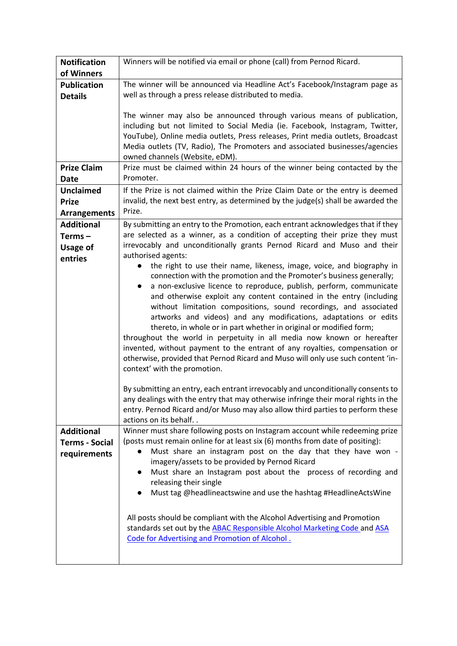| <b>Notification</b>   | Winners will be notified via email or phone (call) from Pernod Ricard.                                                                                  |
|-----------------------|---------------------------------------------------------------------------------------------------------------------------------------------------------|
| of Winners            |                                                                                                                                                         |
| <b>Publication</b>    | The winner will be announced via Headline Act's Facebook/Instagram page as                                                                              |
| <b>Details</b>        | well as through a press release distributed to media.                                                                                                   |
|                       |                                                                                                                                                         |
|                       | The winner may also be announced through various means of publication,                                                                                  |
|                       | including but not limited to Social Media (ie. Facebook, Instagram, Twitter,                                                                            |
|                       | YouTube), Online media outlets, Press releases, Print media outlets, Broadcast                                                                          |
|                       | Media outlets (TV, Radio), The Promoters and associated businesses/agencies<br>owned channels (Website, eDM).                                           |
| <b>Prize Claim</b>    | Prize must be claimed within 24 hours of the winner being contacted by the                                                                              |
|                       | Promoter.                                                                                                                                               |
| Date                  |                                                                                                                                                         |
| <b>Unclaimed</b>      | If the Prize is not claimed within the Prize Claim Date or the entry is deemed                                                                          |
| <b>Prize</b>          | invalid, the next best entry, as determined by the judge(s) shall be awarded the                                                                        |
| <b>Arrangements</b>   | Prize.                                                                                                                                                  |
| <b>Additional</b>     | By submitting an entry to the Promotion, each entrant acknowledges that if they                                                                         |
| Terms $-$             | are selected as a winner, as a condition of accepting their prize they must                                                                             |
| <b>Usage of</b>       | irrevocably and unconditionally grants Pernod Ricard and Muso and their                                                                                 |
| entries               | authorised agents:                                                                                                                                      |
|                       | the right to use their name, likeness, image, voice, and biography in                                                                                   |
|                       | connection with the promotion and the Promoter's business generally;                                                                                    |
|                       | a non-exclusive licence to reproduce, publish, perform, communicate<br>$\bullet$<br>and otherwise exploit any content contained in the entry (including |
|                       | without limitation compositions, sound recordings, and associated                                                                                       |
|                       | artworks and videos) and any modifications, adaptations or edits                                                                                        |
|                       | thereto, in whole or in part whether in original or modified form;                                                                                      |
|                       | throughout the world in perpetuity in all media now known or hereafter                                                                                  |
|                       | invented, without payment to the entrant of any royalties, compensation or                                                                              |
|                       | otherwise, provided that Pernod Ricard and Muso will only use such content 'in-                                                                         |
|                       | context' with the promotion.                                                                                                                            |
|                       |                                                                                                                                                         |
|                       | By submitting an entry, each entrant irrevocably and unconditionally consents to                                                                        |
|                       | any dealings with the entry that may otherwise infringe their moral rights in the                                                                       |
|                       | entry. Pernod Ricard and/or Muso may also allow third parties to perform these                                                                          |
|                       | actions on its behalf. .                                                                                                                                |
| <b>Additional</b>     | Winner must share following posts on Instagram account while redeeming prize                                                                            |
| <b>Terms - Social</b> | (posts must remain online for at least six (6) months from date of positing):                                                                           |
| requirements          | Must share an instagram post on the day that they have won -                                                                                            |
|                       | imagery/assets to be provided by Pernod Ricard                                                                                                          |
|                       | Must share an Instagram post about the process of recording and<br>$\bullet$                                                                            |
|                       | releasing their single                                                                                                                                  |
|                       | Must tag @headlineactswine and use the hashtag #HeadlineActsWine<br>$\bullet$                                                                           |
|                       |                                                                                                                                                         |
|                       | All posts should be compliant with the Alcohol Advertising and Promotion                                                                                |
|                       | standards set out by the ABAC Responsible Alcohol Marketing Code and ASA                                                                                |
|                       | Code for Advertising and Promotion of Alcohol.                                                                                                          |
|                       |                                                                                                                                                         |
|                       |                                                                                                                                                         |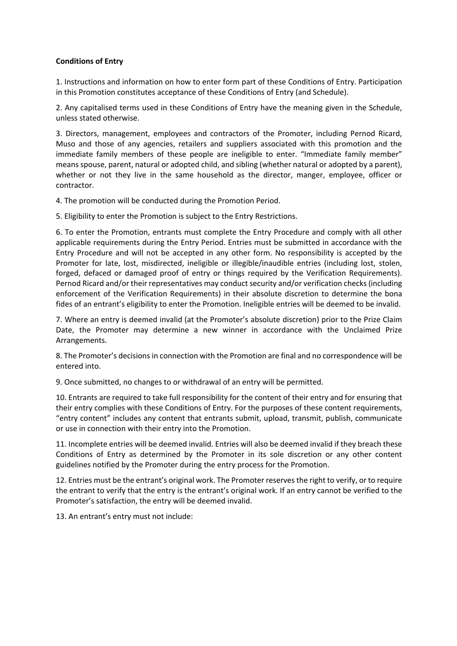## **Conditions of Entry**

1. Instructions and information on how to enter form part of these Conditions of Entry. Participation in this Promotion constitutes acceptance of these Conditions of Entry (and Schedule).

2. Any capitalised terms used in these Conditions of Entry have the meaning given in the Schedule, unless stated otherwise.

3. Directors, management, employees and contractors of the Promoter, including Pernod Ricard, Muso and those of any agencies, retailers and suppliers associated with this promotion and the immediate family members of these people are ineligible to enter. "Immediate family member" means spouse, parent, natural or adopted child, and sibling (whether natural or adopted by a parent), whether or not they live in the same household as the director, manger, employee, officer or contractor.

4. The promotion will be conducted during the Promotion Period.

5. Eligibility to enter the Promotion is subject to the Entry Restrictions.

6. To enter the Promotion, entrants must complete the Entry Procedure and comply with all other applicable requirements during the Entry Period. Entries must be submitted in accordance with the Entry Procedure and will not be accepted in any other form. No responsibility is accepted by the Promoter for late, lost, misdirected, ineligible or illegible/inaudible entries (including lost, stolen, forged, defaced or damaged proof of entry or things required by the Verification Requirements). Pernod Ricard and/or their representatives may conduct security and/or verification checks (including enforcement of the Verification Requirements) in their absolute discretion to determine the bona fides of an entrant's eligibility to enter the Promotion. Ineligible entries will be deemed to be invalid.

7. Where an entry is deemed invalid (at the Promoter's absolute discretion) prior to the Prize Claim Date, the Promoter may determine a new winner in accordance with the Unclaimed Prize Arrangements.

8. The Promoter's decisions in connection with the Promotion are final and no correspondence will be entered into.

9. Once submitted, no changes to or withdrawal of an entry will be permitted.

10. Entrants are required to take full responsibility for the content of their entry and for ensuring that their entry complies with these Conditions of Entry. For the purposes of these content requirements, "entry content" includes any content that entrants submit, upload, transmit, publish, communicate or use in connection with their entry into the Promotion.

11. Incomplete entries will be deemed invalid. Entries will also be deemed invalid if they breach these Conditions of Entry as determined by the Promoter in its sole discretion or any other content guidelines notified by the Promoter during the entry process for the Promotion.

12. Entries must be the entrant's original work. The Promoter reserves the right to verify, or to require the entrant to verify that the entry is the entrant's original work. If an entry cannot be verified to the Promoter's satisfaction, the entry will be deemed invalid.

13. An entrant's entry must not include: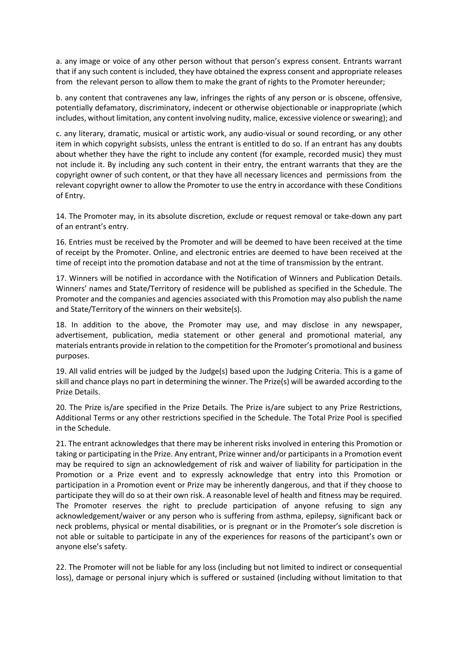a. any image or voice of any other person without that person's express consent. Entrants warrant that if any such content is included, they have obtained the express consent and appropriate releases from the relevant person to allow them to make the grant of rights to the Promoter hereunder;

b. any content that contravenes any law, infringes the rights of any person or is obscene, offensive, potentially defamatory, discriminatory, indecent or otherwise objectionable or inappropriate (which includes, without limitation, any content involving nudity, malice, excessive violence or swearing); and

c. any literary, dramatic, musical or artistic work, any audio-visual or sound recording, or any other item in which copyright subsists, unless the entrant is entitled to do so. If an entrant has any doubts about whether they have the right to include any content (for example, recorded music) they must not include it. By including any such content in their entry, the entrant warrants that they are the copyright owner of such content, or that they have all necessary licences and permissions from the relevant copyright owner to allow the Promoter to use the entry in accordance with these Conditions of Entry.

14. The Promoter may, in its absolute discretion, exclude or request removal or take-down any part of an entrant's entry.

16. Entries must be received by the Promoter and will be deemed to have been received at the time of receipt by the Promoter. Online, and electronic entries are deemed to have been received at the time of receipt into the promotion database and not at the time of transmission by the entrant.

17. Winners will be notified in accordance with the Notification of Winners and Publication Details. Winners' names and State/Territory of residence will be published as specified in the Schedule. The Promoter and the companies and agencies associated with this Promotion may also publish the name and State/Territory of the winners on their website(s).

18. In addition to the above, the Promoter may use, and may disclose in any newspaper, advertisement, publication, media statement or other general and promotional material, any materials entrants provide in relation to the competition for the Promoter's promotional and business purposes.

19. All valid entries will be judged by the Judge(s) based upon the Judging Criteria. This is a game of skill and chance plays no part in determining the winner. The Prize(s) will be awarded according to the Prize Details.

20. The Prize is/are specified in the Prize Details. The Prize is/are subject to any Prize Restrictions, Additional Terms or any other restrictions specified in the Schedule. The Total Prize Pool is specified in the Schedule.

21. The entrant acknowledges that there may be inherent risks involved in entering this Promotion or taking or participating in the Prize. Any entrant, Prize winner and/or participants in a Promotion event may be required to sign an acknowledgement of risk and waiver of liability for participation in the Promotion or a Prize event and to expressly acknowledge that entry into this Promotion or participation in a Promotion event or Prize may be inherently dangerous, and that if they choose to participate they will do so at their own risk. A reasonable level of health and fitness may be required. The Promoter reserves the right to preclude participation of anyone refusing to sign any acknowledgement/waiver or any person who is suffering from asthma, epilepsy, significant back or neck problems, physical or mental disabilities, or is pregnant or in the Promoter's sole discretion is not able or suitable to participate in any of the experiences for reasons of the participant's own or anyone else's safety.

22. The Promoter will not be liable for any loss (including but not limited to indirect or consequential loss), damage or personal injury which is suffered or sustained (including without limitation to that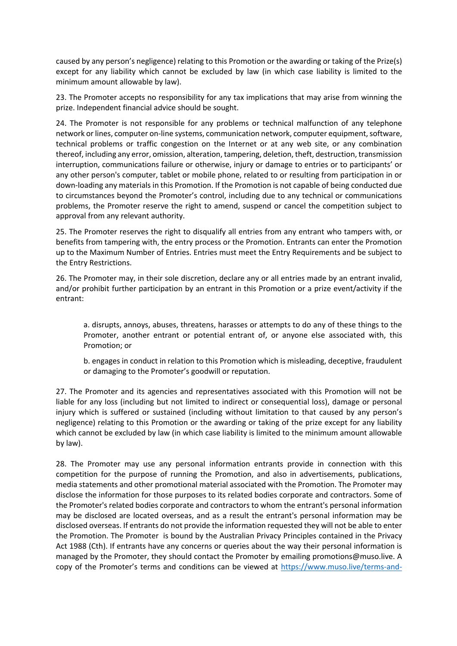caused by any person's negligence) relating to this Promotion or the awarding or taking of the Prize(s) except for any liability which cannot be excluded by law (in which case liability is limited to the minimum amount allowable by law).

23. The Promoter accepts no responsibility for any tax implications that may arise from winning the prize. Independent financial advice should be sought.

24. The Promoter is not responsible for any problems or technical malfunction of any telephone network or lines, computer on-line systems, communication network, computer equipment, software, technical problems or traffic congestion on the Internet or at any web site, or any combination thereof, including any error, omission, alteration, tampering, deletion, theft, destruction, transmission interruption, communications failure or otherwise, injury or damage to entries or to participants' or any other person's computer, tablet or mobile phone, related to or resulting from participation in or down-loading any materials in this Promotion. If the Promotion is not capable of being conducted due to circumstances beyond the Promoter's control, including due to any technical or communications problems, the Promoter reserve the right to amend, suspend or cancel the competition subject to approval from any relevant authority.

25. The Promoter reserves the right to disqualify all entries from any entrant who tampers with, or benefits from tampering with, the entry process or the Promotion. Entrants can enter the Promotion up to the Maximum Number of Entries. Entries must meet the Entry Requirements and be subject to the Entry Restrictions.

26. The Promoter may, in their sole discretion, declare any or all entries made by an entrant invalid, and/or prohibit further participation by an entrant in this Promotion or a prize event/activity if the entrant:

a. disrupts, annoys, abuses, threatens, harasses or attempts to do any of these things to the Promoter, another entrant or potential entrant of, or anyone else associated with, this Promotion; or

b. engages in conduct in relation to this Promotion which is misleading, deceptive, fraudulent or damaging to the Promoter's goodwill or reputation.

27. The Promoter and its agencies and representatives associated with this Promotion will not be liable for any loss (including but not limited to indirect or consequential loss), damage or personal injury which is suffered or sustained (including without limitation to that caused by any person's negligence) relating to this Promotion or the awarding or taking of the prize except for any liability which cannot be excluded by law (in which case liability is limited to the minimum amount allowable by law).

28. The Promoter may use any personal information entrants provide in connection with this competition for the purpose of running the Promotion, and also in advertisements, publications, media statements and other promotional material associated with the Promotion. The Promoter may disclose the information for those purposes to its related bodies corporate and contractors. Some of the Promoter's related bodies corporate and contractors to whom the entrant's personal information may be disclosed are located overseas, and as a result the entrant's personal information may be disclosed overseas. If entrants do not provide the information requested they will not be able to enter the Promotion. The Promoter is bound by the Australian Privacy Principles contained in the Privacy Act 1988 (Cth). If entrants have any concerns or queries about the way their personal information is managed by the Promoter, they should contact the Promoter by emailing promotions@muso.live. A copy of the Promoter's terms and conditions can be viewed at https://www.muso.live/terms-and